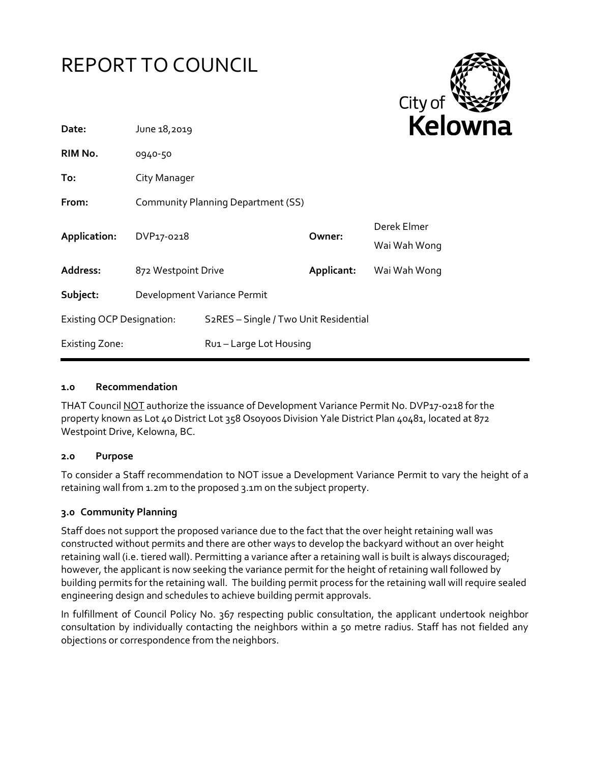# REPORT TO COUNCIL



| Date:                            | June 18,2019                       |                                       |            | re                          |
|----------------------------------|------------------------------------|---------------------------------------|------------|-----------------------------|
| RIM No.                          | 0940-50                            |                                       |            |                             |
| To:                              | City Manager                       |                                       |            |                             |
| From:                            | Community Planning Department (SS) |                                       |            |                             |
| Application:                     | DVP17-0218                         |                                       | Owner:     | Derek Elmer<br>Wai Wah Wong |
| Address:                         | 872 Westpoint Drive                |                                       | Applicant: | Wai Wah Wong                |
| Subject:                         | Development Variance Permit        |                                       |            |                             |
| <b>Existing OCP Designation:</b> |                                    | S2RES - Single / Two Unit Residential |            |                             |
| <b>Existing Zone:</b>            |                                    | Ru1-Large Lot Housing                 |            |                             |
|                                  |                                    |                                       |            |                             |

#### **1.0 Recommendation**

THAT Council NOT authorize the issuance of Development Variance Permit No. DVP17-0218 for the property known as Lot 40 District Lot 358 Osoyoos Division Yale District Plan 40481, located at 872 Westpoint Drive, Kelowna, BC.

## **2.0 Purpose**

To consider a Staff recommendation to NOT issue a Development Variance Permit to vary the height of a retaining wall from 1.2m to the proposed 3.1m on the subject property.

## **3.0 Community Planning**

Staff does not support the proposed variance due to the fact that the over height retaining wall was constructed without permits and there are other ways to develop the backyard without an over height retaining wall (i.e. tiered wall). Permitting a variance after a retaining wall is built is always discouraged; however, the applicant is now seeking the variance permit for the height of retaining wall followed by building permits for the retaining wall. The building permit process for the retaining wall will require sealed engineering design and schedules to achieve building permit approvals.

In fulfillment of Council Policy No. 367 respecting public consultation, the applicant undertook neighbor consultation by individually contacting the neighbors within a 50 metre radius. Staff has not fielded any objections or correspondence from the neighbors.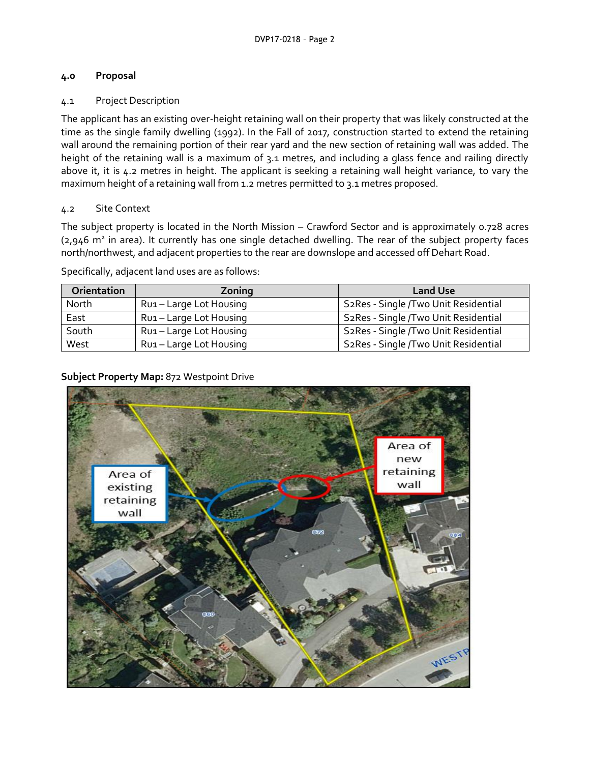# **4.0 Proposal**

# 4.1 Project Description

The applicant has an existing over-height retaining wall on their property that was likely constructed at the time as the single family dwelling (1992). In the Fall of 2017, construction started to extend the retaining wall around the remaining portion of their rear yard and the new section of retaining wall was added. The height of the retaining wall is a maximum of 3.1 metres, and including a glass fence and railing directly above it, it is 4.2 metres in height. The applicant is seeking a retaining wall height variance, to vary the maximum height of a retaining wall from 1.2 metres permitted to 3.1 metres proposed.

# 4.2 Site Context

The subject property is located in the North Mission – Crawford Sector and is approximately 0.728 acres (2,946 m<sup>2</sup> in area). It currently has one single detached dwelling. The rear of the subject property faces north/northwest, and adjacent properties to the rear are downslope and accessed off Dehart Road.

Specifically, adjacent land uses are as follows:

| Orientation | Zoning                  | <b>Land Use</b>                                   |
|-------------|-------------------------|---------------------------------------------------|
| North       | Rui - Large Lot Housing | S2Res - Single /Two Unit Residential              |
| East        | Rui - Large Lot Housing | S2Res - Single /Two Unit Residential              |
| South       | Rui – Large Lot Housing | S <sub>2</sub> Res - Single /Two Unit Residential |
| West        | Rui - Large Lot Housing | S2Res - Single /Two Unit Residential              |

# **Subject Property Map:** 872 Westpoint Drive

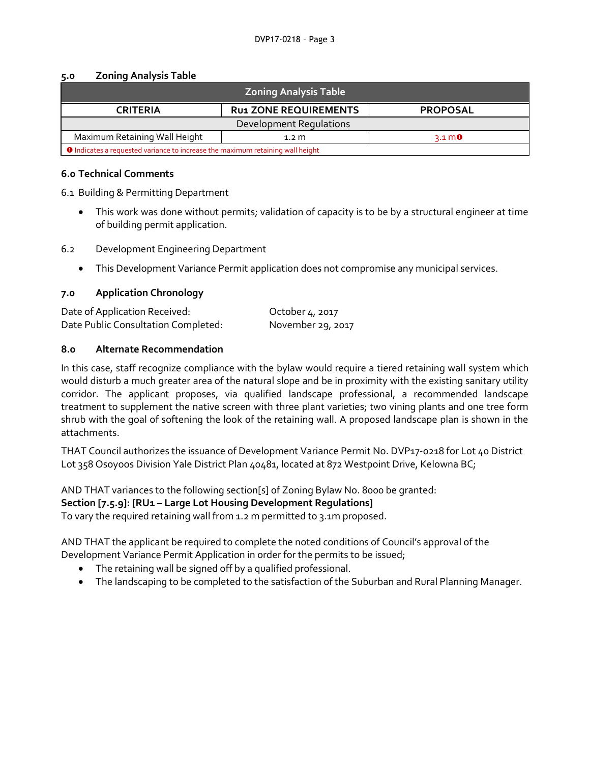#### **5.0 Zoning Analysis Table**

| <b>Zoning Analysis Table</b>                                                          |                              |                                |  |  |  |
|---------------------------------------------------------------------------------------|------------------------------|--------------------------------|--|--|--|
| <b>CRITERIA</b>                                                                       | <b>RU1 ZONE REQUIREMENTS</b> | <b>PROPOSAL</b>                |  |  |  |
| Development Requlations                                                               |                              |                                |  |  |  |
| Maximum Retaining Wall Height                                                         | $1.2~\mathrm{m}$             | $3.1 \, \text{m}$ <sup>0</sup> |  |  |  |
| <b>O</b> Indicates a requested variance to increase the maximum retaining wall height |                              |                                |  |  |  |

#### **6.0 Technical Comments**

6.1 Building & Permitting Department

- This work was done without permits; validation of capacity is to be by a structural engineer at time of building permit application.
- 6.2 Development Engineering Department
	- This Development Variance Permit application does not compromise any municipal services.

### **7.0 Application Chronology**

| Date of Application Received:       | October 4, 2017   |
|-------------------------------------|-------------------|
| Date Public Consultation Completed: | November 29, 2017 |

### **8.0 Alternate Recommendation**

In this case, staff recognize compliance with the bylaw would require a tiered retaining wall system which would disturb a much greater area of the natural slope and be in proximity with the existing sanitary utility corridor. The applicant proposes, via qualified landscape professional, a recommended landscape treatment to supplement the native screen with three plant varieties; two vining plants and one tree form shrub with the goal of softening the look of the retaining wall. A proposed landscape plan is shown in the attachments.

THAT Council authorizes the issuance of Development Variance Permit No. DVP17-0218 for Lot 40 District Lot 358 Osoyoos Division Yale District Plan 40481, located at 872 Westpoint Drive, Kelowna BC;

AND THAT variances to the following section[s] of Zoning Bylaw No. 8000 be granted: **Section [7.5.9]: [RU1 – Large Lot Housing Development Regulations]**  To vary the required retaining wall from 1.2 m permitted to 3.1m proposed.

AND THAT the applicant be required to complete the noted conditions of Council's approval of the Development Variance Permit Application in order for the permits to be issued;

- The retaining wall be signed off by a qualified professional.
- The landscaping to be completed to the satisfaction of the Suburban and Rural Planning Manager.